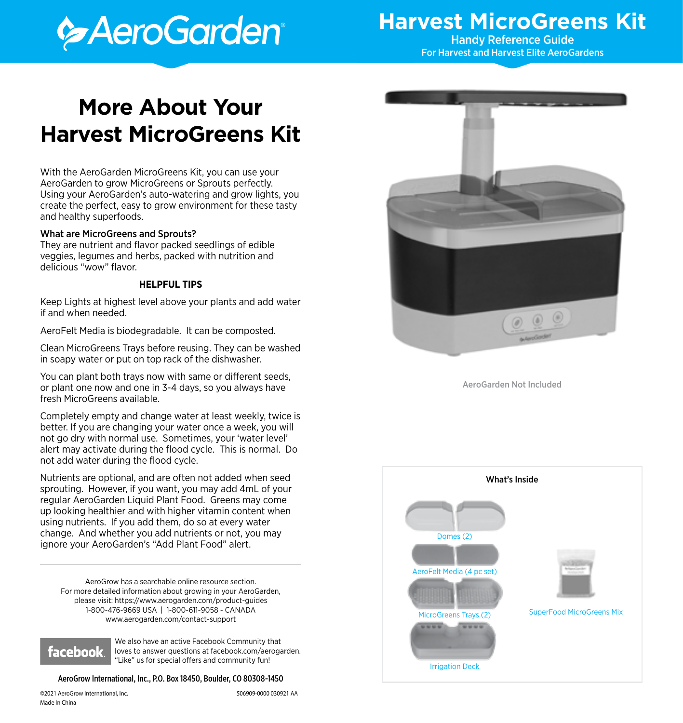# **Execution**

## **Harvest MicroGreens Kit** Handy Reference Guide

For Harvest and Harvest Elite AeroGardens

## **More About Your Harvest MicroGreens Kit**

With the AeroGarden MicroGreens Kit, you can use your AeroGarden to grow MicroGreens or Sprouts perfectly. Using your AeroGarden's auto-watering and grow lights, you create the perfect, easy to grow environment for these tasty and healthy superfoods.

#### What are MicroGreens and Sprouts?

They are nutrient and flavor packed seedlings of edible veggies, legumes and herbs, packed with nutrition and delicious "wow" flavor.

#### **HELPFUL TIPS**

Keep Lights at highest level above your plants and add water if and when needed.

AeroFelt Media is biodegradable. It can be composted.

Clean MicroGreens Trays before reusing. They can be washed in soapy water or put on top rack of the dishwasher.

You can plant both trays now with same or different seeds, or plant one now and one in 3-4 days, so you always have fresh MicroGreens available.

Completely empty and change water at least weekly, twice is better. If you are changing your water once a week, you will not go dry with normal use. Sometimes, your 'water level' alert may activate during the flood cycle. This is normal. Do not add water during the flood cycle.

Nutrients are optional, and are often not added when seed sprouting. However, if you want, you may add 4mL of your regular AeroGarden Liquid Plant Food. Greens may come up looking healthier and with higher vitamin content when using nutrients. If you add them, do so at every water change. And whether you add nutrients or not, you may ignore your AeroGarden's "Add Plant Food" alert.

AeroGrow has a searchable online resource section. For more detailed information about growing in your AeroGarden, please visit: https://www.aerogarden.com/product-guides 1-800-476-9669 USA | 1-800-611-9058 - CANADA www.aerogarden.com/contact-support



We also have an active Facebook Community that loves to answer questions at facebook.com/aerogarden. "Like" us for special offers and community fun!

#### AeroGrow International, Inc., P.O. Box 18450, Boulder, CO 80308-1450



AeroGarden Not Included